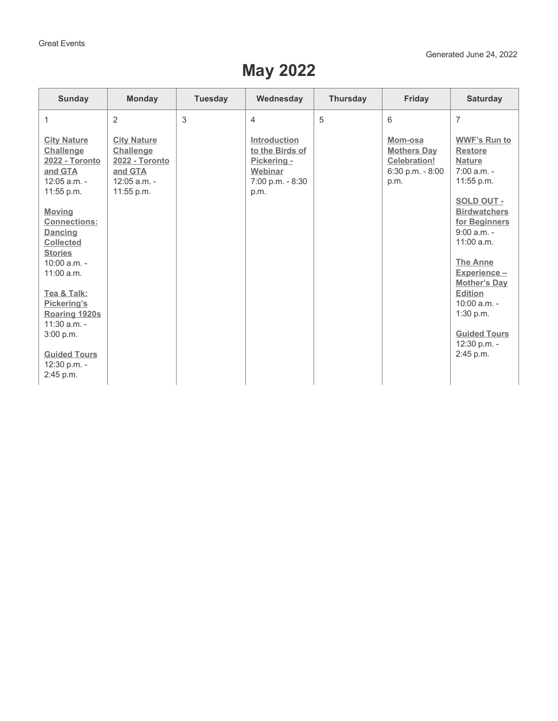## **May 2022**

| <b>Sunday</b>                                                                                | <b>Monday</b>                                                                                       | <b>Tuesday</b> | Wednesday                                                                             | <b>Thursday</b> | Friday                                                                           | <b>Saturday</b>                                                                       |
|----------------------------------------------------------------------------------------------|-----------------------------------------------------------------------------------------------------|----------------|---------------------------------------------------------------------------------------|-----------------|----------------------------------------------------------------------------------|---------------------------------------------------------------------------------------|
| 1                                                                                            | $\overline{2}$                                                                                      | 3              | $\overline{4}$                                                                        | 5               | 6                                                                                | $\overline{7}$                                                                        |
| <b>City Nature</b><br>Challenge<br>2022 - Toronto<br>and GTA<br>$12:05$ a.m. -<br>11:55 p.m. | <b>City Nature</b><br>Challenge<br><b>2022 - Toronto</b><br>and GTA<br>$12:05$ a.m. -<br>11:55 p.m. |                | Introduction<br>to the Birds of<br>Pickering -<br>Webinar<br>7:00 p.m. - 8:30<br>p.m. |                 | Mom-osa<br><b>Mothers Day</b><br><b>Celebration!</b><br>6:30 p.m. - 8:00<br>p.m. | <b>WWF's Run to</b><br><b>Restore</b><br><b>Nature</b><br>$7:00 a.m. -$<br>11:55 p.m. |
| <b>Moving</b><br><b>Connections:</b><br>Dancing<br><b>Collected</b><br><b>Stories</b>        |                                                                                                     |                |                                                                                       |                 |                                                                                  | SOLD OUT -<br><b>Birdwatchers</b><br>for Beginners<br>$9:00 a.m. -$<br>$11:00$ a.m.   |
| $10:00$ a.m. -<br>$11:00$ a.m.                                                               |                                                                                                     |                |                                                                                       |                 |                                                                                  | <b>The Anne</b><br>Experience -<br><b>Mother's Day</b>                                |
| Tea & Talk:<br>Pickering's<br>Roaring 1920s<br>$11:30$ a.m. -                                |                                                                                                     |                |                                                                                       |                 |                                                                                  | <b>Edition</b><br>$10:00$ a.m. -<br>1:30 p.m.                                         |
| 3:00 p.m.<br><b>Guided Tours</b>                                                             |                                                                                                     |                |                                                                                       |                 |                                                                                  | <b>Guided Tours</b><br>12:30 p.m. -<br>2:45 p.m.                                      |
| 12:30 p.m. -<br>2:45 p.m.                                                                    |                                                                                                     |                |                                                                                       |                 |                                                                                  |                                                                                       |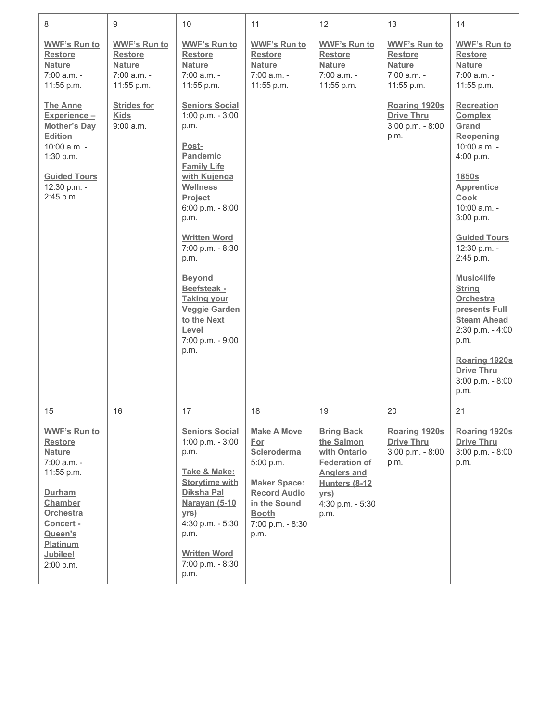| 8                                                                                                                                                                                         | 9                                                                                     | 10                                                                                                                                                                                                                                                                                                                                                          | 11                                                                                                                                                                     | 12                                                                                                                                                               | 13                                                                                    | 14                                                                                                                                                                                                                                                                                                                                                                                                      |
|-------------------------------------------------------------------------------------------------------------------------------------------------------------------------------------------|---------------------------------------------------------------------------------------|-------------------------------------------------------------------------------------------------------------------------------------------------------------------------------------------------------------------------------------------------------------------------------------------------------------------------------------------------------------|------------------------------------------------------------------------------------------------------------------------------------------------------------------------|------------------------------------------------------------------------------------------------------------------------------------------------------------------|---------------------------------------------------------------------------------------|---------------------------------------------------------------------------------------------------------------------------------------------------------------------------------------------------------------------------------------------------------------------------------------------------------------------------------------------------------------------------------------------------------|
| <b>WWF's Run to</b><br><b>Restore</b><br><b>Nature</b><br>$7:00$ a.m. -<br>11:55 p.m.                                                                                                     | <b>WWF's Run to</b><br><b>Restore</b><br><b>Nature</b><br>$7:00$ a.m. -<br>11:55 p.m. | <b>WWF's Run to</b><br><b>Restore</b><br><b>Nature</b><br>$7:00$ a.m. -<br>11:55 p.m.                                                                                                                                                                                                                                                                       | <b>WWF's Run to</b><br><b>Restore</b><br><b>Nature</b><br>$7:00$ a.m. -<br>11:55 p.m.                                                                                  | <b>WWF's Run to</b><br><b>Restore</b><br><b>Nature</b><br>$7:00$ a.m. -<br>11:55 p.m.                                                                            | <b>WWF's Run to</b><br><b>Restore</b><br><b>Nature</b><br>$7:00$ a.m. -<br>11:55 p.m. | <b>WWF's Run to</b><br><b>Restore</b><br><b>Nature</b><br>$7:00$ a.m. -<br>11:55 p.m.                                                                                                                                                                                                                                                                                                                   |
| <b>The Anne</b><br>Experience-<br><b>Mother's Day</b><br>Edition<br>$10:00$ a.m. -<br>1:30 p.m.<br><b>Guided Tours</b><br>12:30 p.m. -<br>2:45 p.m.                                       | <b>Strides for</b><br><b>Kids</b><br>9:00 a.m.                                        | <b>Seniors Social</b><br>1:00 p.m. - 3:00<br>p.m.<br>Post-<br>Pandemic<br><b>Family Life</b><br>with Kujenga<br><b>Wellness</b><br>Project<br>6:00 p.m. - 8:00<br>p.m.<br><b>Written Word</b><br>7:00 p.m. - 8:30<br>p.m.<br><b>Beyond</b><br>Beefsteak -<br><b>Taking your</b><br><b>Veggie Garden</b><br>to the Next<br>Level<br>7:00 p.m. - 9:00<br>p.m. |                                                                                                                                                                        |                                                                                                                                                                  | Roaring 1920s<br><b>Drive Thru</b><br>3:00 p.m. - 8:00<br>p.m.                        | <b>Recreation</b><br><b>Complex</b><br>Grand<br>Reopening<br>10:00 a.m. -<br>4:00 p.m.<br>1850s<br><b>Apprentice</b><br>Cook<br>$10:00$ a.m. -<br>3:00 p.m.<br><b>Guided Tours</b><br>12:30 p.m. -<br>2:45 p.m.<br>Music4life<br><b>String</b><br><b>Orchestra</b><br>presents Full<br><b>Steam Ahead</b><br>2:30 p.m. - 4:00<br>p.m.<br>Roaring 1920s<br><b>Drive Thru</b><br>3:00 p.m. - 8:00<br>p.m. |
| 15                                                                                                                                                                                        | 16                                                                                    | 17                                                                                                                                                                                                                                                                                                                                                          | 18                                                                                                                                                                     | 19                                                                                                                                                               | 20                                                                                    | 21                                                                                                                                                                                                                                                                                                                                                                                                      |
| <b>WWF's Run to</b><br><b>Restore</b><br><b>Nature</b><br>7:00 a.m. -<br>11:55 p.m.<br>Durham<br>Chamber<br><b>Orchestra</b><br>Concert -<br>Queen's<br>Platinum<br>Jubilee!<br>2:00 p.m. |                                                                                       | <b>Seniors Social</b><br>1:00 p.m. - 3:00<br>p.m.<br>Take & Make:<br><b>Storytime with</b><br>Diksha Pal<br><b>Narayan (5-10</b><br>yrs)<br>4:30 p.m. - 5:30<br>p.m.<br><b>Written Word</b><br>7:00 p.m. - 8:30<br>p.m.                                                                                                                                     | <b>Make A Move</b><br><u>For</u><br>Scleroderma<br>5:00 p.m.<br><b>Maker Space:</b><br><b>Record Audio</b><br>in the Sound<br><b>Booth</b><br>7:00 p.m. - 8:30<br>p.m. | <b>Bring Back</b><br>the Salmon<br>with Ontario<br><b>Federation of</b><br><b>Anglers and</b><br><b>Hunters (8-12</b><br><u>yrs)</u><br>4:30 p.m. - 5:30<br>p.m. | Roaring 1920s<br><b>Drive Thru</b><br>3:00 p.m. - 8:00<br>p.m.                        | Roaring 1920s<br><b>Drive Thru</b><br>3:00 p.m. - 8:00<br>p.m.                                                                                                                                                                                                                                                                                                                                          |